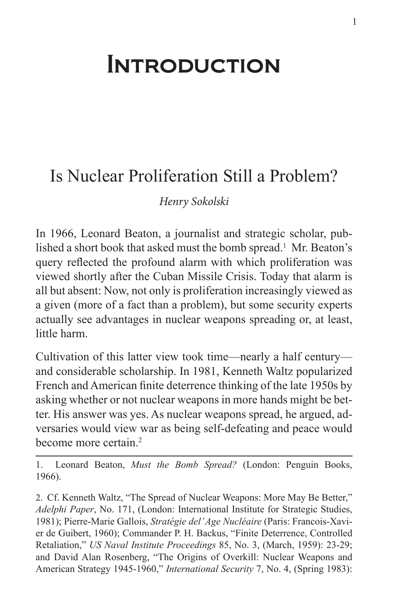## **INTRODUCTION**

## Is Nuclear Proliferation Still a Problem?

*Henry Sokolski*

In 1966, Leonard Beaton, a journalist and strategic scholar, published a short book that asked must the bomb spread.<sup>1</sup> Mr. Beaton's query reflected the profound alarm with which proliferation was viewed shortly after the Cuban Missile Crisis. Today that alarm is all but absent: Now, not only is proliferation increasingly viewed as a given (more of a fact than a problem), but some security experts actually see advantages in nuclear weapons spreading or, at least, little harm.

Cultivation of this latter view took time—nearly a half century and considerable scholarship. In 1981, Kenneth Waltz popularized French and American finite deterrence thinking of the late 1950s by asking whether or not nuclear weapons in more hands might be better. His answer was yes. As nuclear weapons spread, he argued, adversaries would view war as being self-defeating and peace would become more certain.<sup>2</sup>

1. Leonard Beaton, *Must the Bomb Spread?* (London: Penguin Books, 1966).

2. Cf. Kenneth Waltz, "The Spread of Nuclear Weapons: More May Be Better," *Adelphi Paper*, No. 171, (London: International Institute for Strategic Studies, 1981); Pierre-Marie Gallois, *Stratégie del' Age Nucléaire* (Paris: Francois-Xavier de Guibert, 1960); Commander P. H. Backus, "Finite Deterrence, Controlled Retaliation," *US Naval Institute Proceedings* 85, No. 3, (March, 1959): 23-29; and David Alan Rosenberg, "The Origins of Overkill: Nuclear Weapons and American Strategy 1945-1960," *International Security* 7, No. 4, (Spring 1983):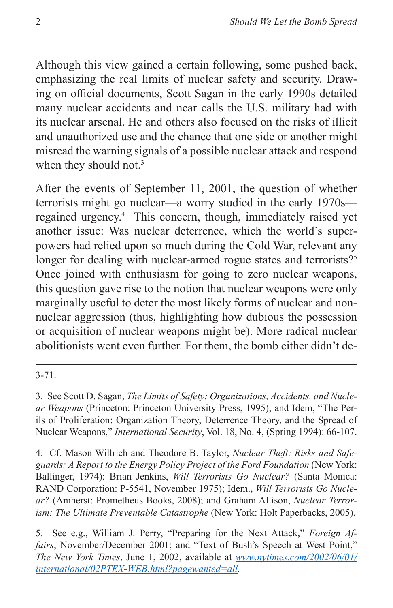Although this view gained a certain following, some pushed back, emphasizing the real limits of nuclear safety and security. Drawing on official documents, Scott Sagan in the early 1990s detailed many nuclear accidents and near calls the U.S. military had with its nuclear arsenal. He and others also focused on the risks of illicit and unauthorized use and the chance that one side or another might misread the warning signals of a possible nuclear attack and respond when they should not.<sup>3</sup>

After the events of September 11, 2001, the question of whether terrorists might go nuclear—a worry studied in the early 1970s regained urgency.4 This concern, though, immediately raised yet another issue: Was nuclear deterrence, which the world's superpowers had relied upon so much during the Cold War, relevant any longer for dealing with nuclear-armed rogue states and terrorists?<sup>5</sup> Once joined with enthusiasm for going to zero nuclear weapons, this question gave rise to the notion that nuclear weapons were only marginally useful to deter the most likely forms of nuclear and nonnuclear aggression (thus, highlighting how dubious the possession or acquisition of nuclear weapons might be). More radical nuclear abolitionists went even further. For them, the bomb either didn't de-

3-71.

4. Cf. Mason Willrich and Theodore B. Taylor, *Nuclear Theft: Risks and Safeguards: A Report to the Energy Policy Project of the Ford Foundation* (New York: Ballinger, 1974); Brian Jenkins, *Will Terrorists Go Nuclear?* (Santa Monica: RAND Corporation: P-5541, November 1975); Idem., *Will Terrorists Go Nuclear?* (Amherst: Prometheus Books, 2008); and Graham Allison, *Nuclear Terrorism: The Ultimate Preventable Catastrophe* (New York: Holt Paperbacks, 2005).

<sup>3.</sup> See Scott D. Sagan, *The Limits of Safety: Organizations, Accidents, and Nuclear Weapons* (Princeton: Princeton University Press, 1995); and Idem, "The Perils of Proliferation: Organization Theory, Deterrence Theory, and the Spread of Nuclear Weapons," *International Security*, Vol. 18, No. 4, (Spring 1994): 66-107.

<sup>5.</sup> See e.g., William J. Perry, "Preparing for the Next Attack," *Foreign Affairs*, November/December 2001; and "Text of Bush's Speech at West Point," *The New York Times*, June 1, 2002, available at *[www.nytimes.com/2002/06/01/](www.nytimes.com/2002/06/01/international/02PTEX-WEB.html?pagewanted=all) [international/02PTEX-WEB.html?pagewanted=all.](www.nytimes.com/2002/06/01/international/02PTEX-WEB.html?pagewanted=all)*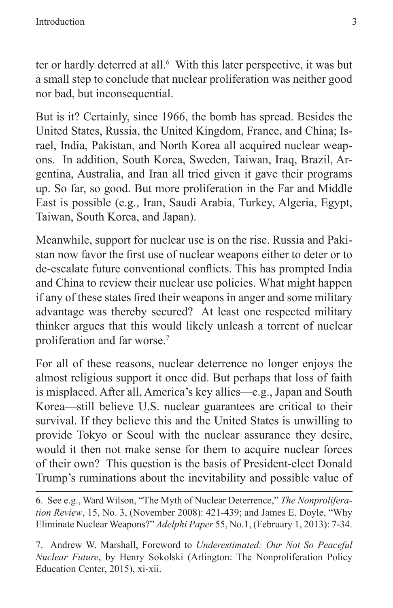ter or hardly deterred at all.<sup>6</sup> With this later perspective, it was but a small step to conclude that nuclear proliferation was neither good nor bad, but inconsequential.

But is it? Certainly, since 1966, the bomb has spread. Besides the United States, Russia, the United Kingdom, France, and China; Israel, India, Pakistan, and North Korea all acquired nuclear weapons. In addition, South Korea, Sweden, Taiwan, Iraq, Brazil, Argentina, Australia, and Iran all tried given it gave their programs up. So far, so good. But more proliferation in the Far and Middle East is possible (e.g., Iran, Saudi Arabia, Turkey, Algeria, Egypt, Taiwan, South Korea, and Japan).

Meanwhile, support for nuclear use is on the rise. Russia and Pakistan now favor the first use of nuclear weapons either to deter or to de-escalate future conventional conflicts. This has prompted India and China to review their nuclear use policies. What might happen if any of these states fired their weapons in anger and some military advantage was thereby secured? At least one respected military thinker argues that this would likely unleash a torrent of nuclear proliferation and far worse.7

For all of these reasons, nuclear deterrence no longer enjoys the almost religious support it once did. But perhaps that loss of faith is misplaced. After all, America's key allies—e.g., Japan and South Korea—still believe U.S. nuclear guarantees are critical to their survival. If they believe this and the United States is unwilling to provide Tokyo or Seoul with the nuclear assurance they desire, would it then not make sense for them to acquire nuclear forces of their own? This question is the basis of President-elect Donald Trump's ruminations about the inevitability and possible value of

7. Andrew W. Marshall, Foreword to *Underestimated: Our Not So Peaceful Nuclear Future*, by Henry Sokolski (Arlington: The Nonproliferation Policy Education Center, 2015), xi-xii.

<sup>6.</sup> See e.g., Ward Wilson, "The Myth of Nuclear Deterrence," *The Nonproliferation Review*, 15, No. 3, (November 2008): 421-439; and James E. Doyle, "Why Eliminate Nuclear Weapons?" *Adelphi Paper* 55, No.1, (February 1, 2013): 7-34.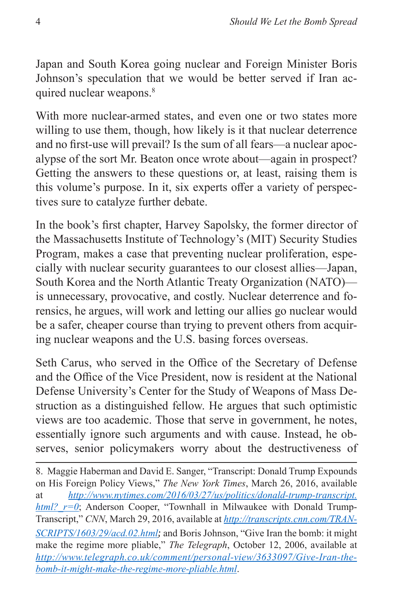Japan and South Korea going nuclear and Foreign Minister Boris Johnson's speculation that we would be better served if Iran acquired nuclear weapons.<sup>8</sup>

With more nuclear-armed states, and even one or two states more willing to use them, though, how likely is it that nuclear deterrence and no first-use will prevail? Is the sum of all fears—a nuclear apocalypse of the sort Mr. Beaton once wrote about—again in prospect? Getting the answers to these questions or, at least, raising them is this volume's purpose. In it, six experts offer a variety of perspectives sure to catalyze further debate.

In the book's first chapter, Harvey Sapolsky, the former director of the Massachusetts Institute of Technology's (MIT) Security Studies Program, makes a case that preventing nuclear proliferation, especially with nuclear security guarantees to our closest allies—Japan, South Korea and the North Atlantic Treaty Organization (NATO) is unnecessary, provocative, and costly. Nuclear deterrence and forensics, he argues, will work and letting our allies go nuclear would be a safer, cheaper course than trying to prevent others from acquiring nuclear weapons and the U.S. basing forces overseas.

Seth Carus, who served in the Office of the Secretary of Defense and the Office of the Vice President, now is resident at the National Defense University's Center for the Study of Weapons of Mass Destruction as a distinguished fellow. He argues that such optimistic views are too academic. Those that serve in government, he notes, essentially ignore such arguments and with cause. Instead, he observes, senior policymakers worry about the destructiveness of

8. Maggie Haberman and David E. Sanger, "Transcript: Donald Trump Expounds on His Foreign Policy Views," *The New York Times*, March 26, 2016, available at *[http://www.nytimes.com/2016/03/27/us/politics/donald-trump-transcript.](http://www.nytimes.com/2016/03/27/us/politics/donald-trump-transcript.html?_r=0) html?*  $r=0$ ; Anderson Cooper, "Townhall in Milwaukee with Donald Trump-Transcript," *CNN*, March 29, 2016, available at *[http://transcripts.cnn.com/TRAN-](http://transcripts.cnn.com/TRANSCRIPTS/1603/29/acd.02.html)[SCRIPTS/1603/29/acd.02.html](http://transcripts.cnn.com/TRANSCRIPTS/1603/29/acd.02.html);* and Boris Johnson, "Give Iran the bomb: it might make the regime more pliable," *The Telegraph*, October 12, 2006, available at *[http://www.telegraph.co.uk/comment/personal-view/3633097/Give-Iran-the](http://www.telegraph.co.uk/comment/personal-view/3633097/Give-Iran-the-bomb-it-might-make-the-regime-more-pliable.html)[bomb-it-might-make-the-regime-more-pliable.html](http://www.telegraph.co.uk/comment/personal-view/3633097/Give-Iran-the-bomb-it-might-make-the-regime-more-pliable.html)*.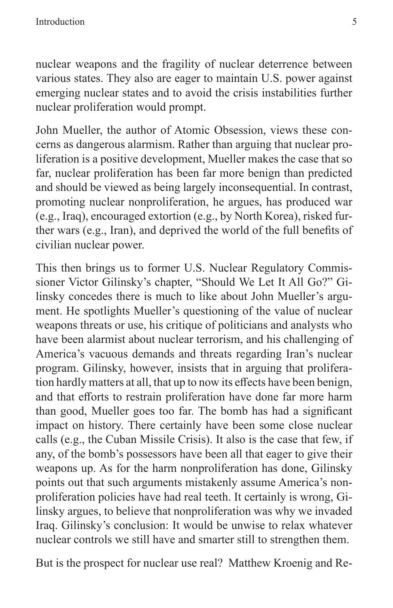nuclear weapons and the fragility of nuclear deterrence between various states. They also are eager to maintain U.S. power against emerging nuclear states and to avoid the crisis instabilities further nuclear proliferation would prompt.

John Mueller, the author of Atomic Obsession, views these concerns as dangerous alarmism. Rather than arguing that nuclear proliferation is a positive development, Mueller makes the case that so far, nuclear proliferation has been far more benign than predicted and should be viewed as being largely inconsequential. In contrast, promoting nuclear nonproliferation, he argues, has produced war (e.g., Iraq), encouraged extortion (e.g., by North Korea), risked further wars (e.g., Iran), and deprived the world of the full benefits of civilian nuclear power.

This then brings us to former U.S. Nuclear Regulatory Commissioner Victor Gilinsky's chapter, "Should We Let It All Go?" Gilinsky concedes there is much to like about John Mueller's argument. He spotlights Mueller's questioning of the value of nuclear weapons threats or use, his critique of politicians and analysts who have been alarmist about nuclear terrorism, and his challenging of America's vacuous demands and threats regarding Iran's nuclear program. Gilinsky, however, insists that in arguing that proliferation hardly matters at all, that up to now its effects have been benign, and that efforts to restrain proliferation have done far more harm than good, Mueller goes too far. The bomb has had a significant impact on history. There certainly have been some close nuclear calls (e.g., the Cuban Missile Crisis). It also is the case that few, if any, of the bomb's possessors have been all that eager to give their weapons up. As for the harm nonproliferation has done, Gilinsky points out that such arguments mistakenly assume America's nonproliferation policies have had real teeth. It certainly is wrong, Gilinsky argues, to believe that nonproliferation was why we invaded Iraq. Gilinsky's conclusion: It would be unwise to relax whatever nuclear controls we still have and smarter still to strengthen them.

But is the prospect for nuclear use real? Matthew Kroenig and Re-